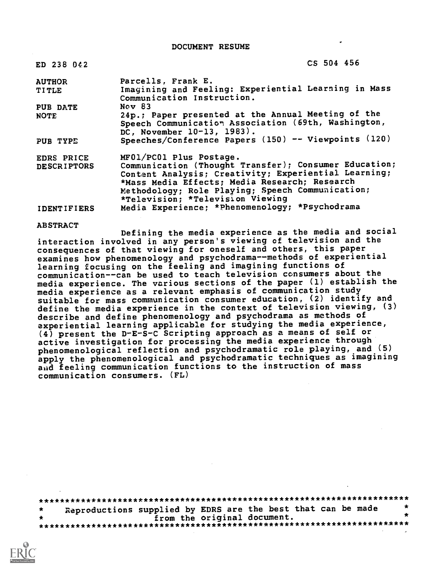DOCUMENT RESUME

| ED 238 042         | CS 504 456                                                                                                                              |
|--------------------|-----------------------------------------------------------------------------------------------------------------------------------------|
| <b>AUTHOR</b>      | Parcells, Frank E.                                                                                                                      |
| <b>TITLE</b>       | Imagining and Feeling: Experiential Learning in Mass<br>Communication Instruction.                                                      |
| PUB DATE           | Nov <sub>83</sub>                                                                                                                       |
| <b>NOTE</b>        | 24p.; Paper presented at the Annual Meeting of the<br>Speech Communication Association (69th, Washington,<br>DC, November 10-13, 1983). |
| PUB TYPE           | Speeches/Conference Papers (150) -- Viewpoints (120)                                                                                    |
| EDRS PRICE         | MF01/PC01 Plus Postage.                                                                                                                 |
| <b>DESCRIPTORS</b> | Communication (Thought Transfer); Consumer Education;                                                                                   |
|                    | Content Analysis; Creativity; Experiential Learning;                                                                                    |
|                    | *Mass Media Effects; Media Research; Research                                                                                           |
|                    | Methodology; Role Playing; Speech Communication;<br>*Television; *Television Viewing                                                    |
| <b>IDENTIFIERS</b> | Media Experience; *Phenomenology; *Psychodrama                                                                                          |

#### ABSTRACT

Defining the media experience as the media and social interaction involved in any person's viewing of television and the consequences of that viewing for oneself and others, this paper examines how phenomenology and psychodrama--methods of experiential learning focusing on the feeling and imagining functions of communication--can be used to teach television consumers about the media experience. The various sections of the paper (1) establish the media experience as a relevant emphasis of communication study suitable for mass communication consumer education, (2) identify and define the media experience in the context of television viewing, (3) describe and define phenomenology and psychodrama as methods of experiential learning applicable for studying the media experience, (4) present the D-E-S-C Scripting approach as a means of self or active investigation for processing the media experience through phenomenological reflection and psychodramatic role playing, and (5) apply the phenomenological and psychodramatic techniques as imagining and feeling communication functions to the instruction of mass communication consumers. (FL)

| 大大 | Reproductions supplied by EDRS are the best that can be made |                             |  |  |  |  |
|----|--------------------------------------------------------------|-----------------------------|--|--|--|--|
|    |                                                              | from the original document. |  |  |  |  |
|    |                                                              |                             |  |  |  |  |
|    |                                                              |                             |  |  |  |  |

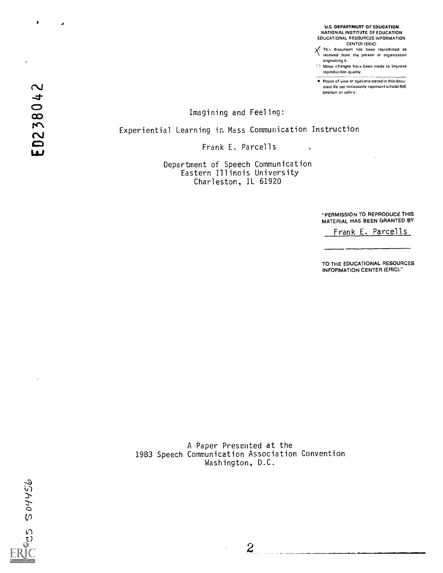U.S. DEPARTMENT OF EDUCATION NATIONAL INSTITUTE OF EDUCATION EDUCATIONAL RESOURCES INFORMATION CENTER (ERIC)

- $X$  This document has been seproduced as received from the person of prognization received from the person or organization
- originating it. Minor changes hare been made to improve reproduction quality.

Points of view or opinions stated in this document do not necessarily represent orficial NIE position or policy.

Imagining and Feeling:

Experiential Learning in Mass Communication Instruction

Frank E. Parcells

Department of Speech Communication Eastern Illinois University Charleston, IL 61920

> "'PERMISSION TO REPRODUCE THIS MATERIAL HAS BEEN GRANTED BY

Frank E. Parcells

TO THE EDUCATIONAL RESOURCES INFORMATION CENTER (ERIC)."

A Paper Presented at the 1983 Speech Communication Association Convention Washington, D.C.



0238042

 $\bullet$ 

 $\overline{\mathbf{A}}$ 

 $\boldsymbol{2}$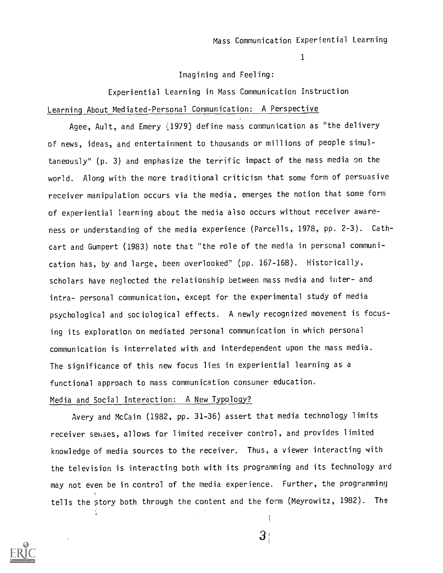### Imagining and Feeling:

Experiential Learning in Mass Communication Instruction Learning About Mediated-Personal Communication: A Perspective

Agee, Ault, and Emery  $(1979)$  define mass communication as "the delivery of news, ideas, and entertainment to thousands or millions of people simultaneously" (p. 3) and emphasize the terrific impact of the mass media on the world. Along with the more traditional criticism that some form of persuasive receiver manipulation occurs via the media, emerges the notion that some form of experiential learning about the media also occurs without receiver awareness or understanding of the media experience (Parcells, 1978, pp. 2-3). Cathcart and Gumpert (1983) note that "the role of the media in personal communication has, by and large, been overlooked" (pp. 167-168). Historically, scholars have neglected the relationship between mass media and inter- and intra- personal communication, except for the experimental study of media psychological and sociological effects. A newly recognized movement is focusing its exploration on mediated personal communication in which personal communication is interrelated with and interdependent upon the mass media. The significance of this new focus lies in experiential learning as a functional approach to mass communication consumer education.

## Media and Social Interaction: A New Typology?

Avery and McCain (1982, pp. 31-36) assert that media technology limits receiver senses, allows for limited receiver control, and provides limited knowledge of media sources to the receiver. Thus, a viewer interacting with the television is interacting both with its programming and its technology ard may not even be in control of the media experience. Further, the programming tells the story both through the content and the form (Meyrowitz, 1982). The



 $\left\{ \right\}$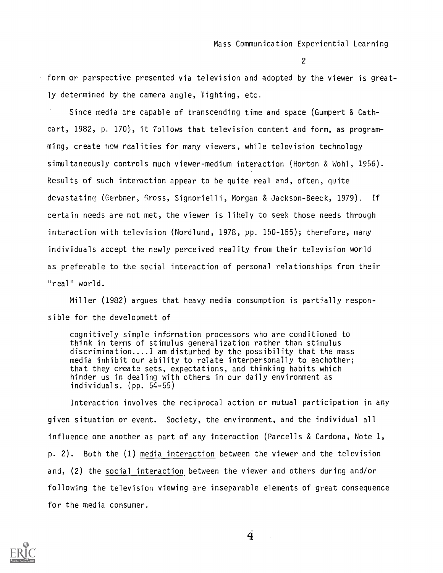form or perspective presented via television and adopted by the viewer is greatly determined by the camera angle, 'lighting, etc.

Since media are capable of transcending time and space (Gumpert & Cathcart, 1982, p. 170 $\frac{1}{2}$ , it follows that television content and form, as programming, create new realities for many viewers, while television technology simultaneously controls much viewer-medium interaction (Horton & Wohl, 1956) Results of such interaction appear to be quite real and, often, quite devastating (Gerbner, Gross, Signorielli, Morgan & Jackson-Beeck, 1979). If certain needs are not met, the viewer is likely to seek those needs through interaction with television (Nordlund, 1978, pp. 150-155); therefore, many individuals accept the newly perceived reality from their television world as preferable to the social interaction of personal relationships from their "real" world.

Miller (1982) argues that heavy media consumption is partially responsible for the developmett of

cognitively simple information processors who are conditioned to think in terms of stimulus generalization rather than stimulus discrimination....I am disturbed by the possibility that the mass media inhibit our ability to relate interpersonally to eachother; that they create sets, expectations, and thinking habits which hinder us in dealing with others in our daily environment as individuals. (pp. 54-55)

Interaction involves the reciprocal action or mutual participation in any given situation or event. Society, the environment, and the individual all influence one another as part of any interaction (Parcells & Cardona, Note 1, p. 2). Both the (1) media interaction between the viewer and the television and, (2) the social interaction between the viewer and others during and/or following the television viewing are inseparable elements of great consequence for the media consumer.

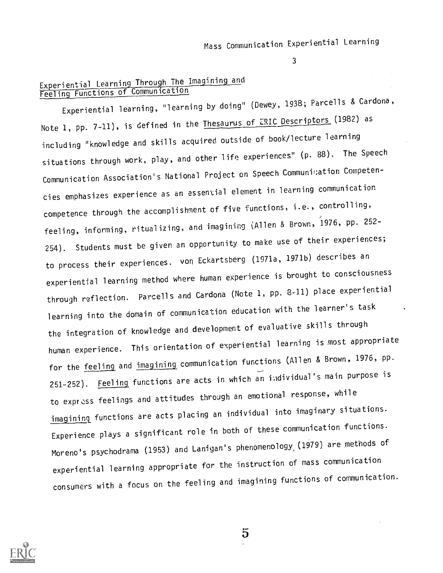## Experiential Learning Through The Imagining and Feeling Functions of Communication

Experiential learning, "learning by doing" (Dewey, 1938; Parcells & Cardona, Note 1, pp. 7-11), is defined in the Thesaurus of ERIC Descriptors (1982) as including "knowledge and skills acquired outside of book/lecture learning situations through work, play, and other life experiences" (p. 88). The Speech Communication Association's National Project on Speech Communication Competencies emphasizes experience as an essential element in learning communication competence through the accomplishment of five functions, i.e., controlling, feeling, informing, ritualizing, and imagining (Allen & Brown, 1976, pp. 252- 254). Students must be given an opportunity to make use of their experiences; to process their experiences. von Eckartsberg (1971a, 1971b) describes an experiential learning method where human experience is brought to consciousness through reflection. Parcells and Cardona (Note 1, pp. 8-11) place experiential learning into the domain of communication education with the learner's task the integration of knowledge and development of evaluative skills through human experience. This orientation of experiential learning is most appropriate for the feeling and imagining communication functions (Allen & Brown, 1976, pp. 251-252). Feeling functions are acts in which an individual's main purpose is to express feelings and attitudes through an emotional response, while imagining functions are acts placing an individual into imaginary situations. Experience plays a significant role in both of these communication functions. Moreno's psychodrama (1953) and Lanigan's phenomenology (1979) are methods of experiential learning appropriate for the instruction of mass communication consumers with a focus on the feeling and imagining functions of communication.



 $\overline{5}$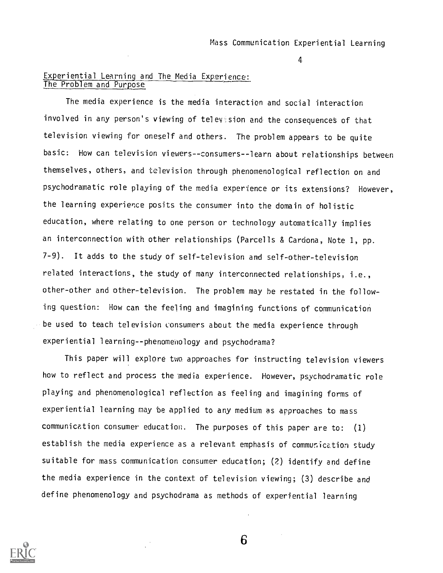$4<sub>l</sub>$ 

## Experiential Learning and The Media Experience: The Problem and Purpose

The media experience is the media interaction and social interaction involved in any person's viewing of television and the consequences of that television viewing for oneself and others. The problem appears to be quite basic: How can television viewers--consumers--learn about relationships between themselves, others, and television through phenomenological reflection on and psychodramatic role playing of the media experience or its extensions? However, the learning experience posits the consumer into the domain of holistic education, where relating to one person or technology automatically implies an interconnection with other relationships (Parcells & Cardona, Note 1, pp. 7-9). It adds to the study of self-television and self-other-television related interactions, the study of many interconnected relationships, i.e., other-other and other-television. The problem may be restated in the following question: How can the feeling and imagining functions of communication be used to teach television consumers about the media experience through experiential learning--phenomenology and psychodrama?

This paper will explore two approaches for instructing television viewers how to reflect and process the media experience. However, psychodramatic role playing and phenomenological reflection as feeling and imagining forms of experiential learning may be applied to any medium as approaches to mass communication consumer education. The purposes of this paper are to: (1) establish the media experience as a relevant emphasis of communication study suitable for mass communication consumer education; (2) identify and define the media experience in the context of television viewing; (3) describe and define phenomenology and psychodrama as methods of experiential learning

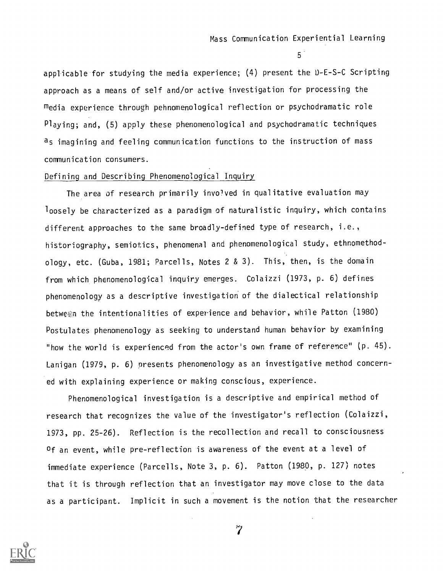$5<sup>1</sup>$ 

applicable for studying the media experience; (4) present the D-E-S-C Scripting approach as a means of self and/or active investigation for processing the media experience through pehnomenological reflection or psychodramatic role Playing; and, (5) apply these phenomenological and psychodramatic techniques as imagining and feeling communication functions to the instruction of mass communication consumers.

## Defining and Describing Phenomenological Inquiry

The area of research primarily involved in qualitative evaluation may loosely be characterized as a paradigm of naturalistic inquiry, which contains different approaches to the same broadly-defined type of research, i.e., historiography, semiotics, phenomenal and phenomenological study, ethnomethodology, etc. (Guba, 1981; Parcells, Notes 2 & 3). This, then, is the domain from which phenomenological inquiry emerges. Colaizzi (1973, p. 6) defines phenomenology as a descriptive investigation of the dialectical relationship between the intentionalities of experience and behavior, while Patton (1980) Postulates phenomenology as seeking to understand human behavior by examining "how the world is experienced from the actor's own frame of reference" (p. 45). Lanigan (1979, p. 6) presents phenomenology as an investigative method concerned with explaining experience or making conscious, experience.

Phenomenological investigation is a descriptive and empirical method of research that recognizes the value of the investigator's reflection (Colaizzi, 1973, pp. 25-26). Reflection is the recollection and recall to consciousness of an event, while pre-reflection is awareness of the event at a level of immediate experience (Parcells, Note 3, p. 6). Patton (1980, p. 127) notes that it is through reflection that an investigator may move close to the data as a participant. Implicit in such a movement is the notion that the researcher

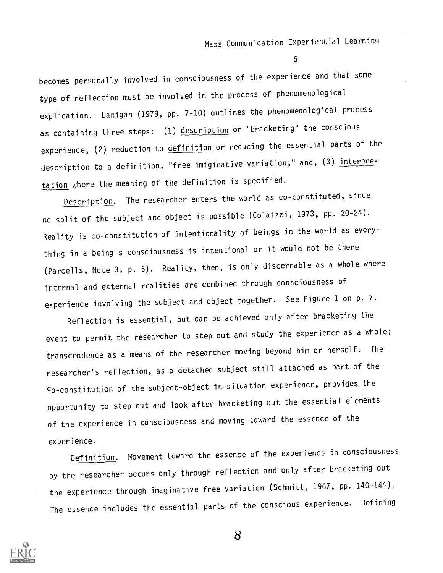becomes personally involved in consciousness of the experience and that some type of reflection must be involved in the process of phenomenological explication. Lanigan (1979, pp. 7-10) outlines the phenomenological process as containing three steps: (1) description or "bracketing" the conscious experience; (2) reduction to definition or reducing the essential parts of the description to a definition, "free imiginative variation;" and, (3) interpretation where the meaning of the definition is specified.

Description. The researcher enters the world as co-constituted, since no split of the subject and object is possible (Colaizzi, 1973, pp. 20-24). Reality is co-constitution of intentionality of beings in the world as everything in a being's consciousness is intentional or it would not be there (Parcells, Note 3, p. 6). Reality, then, is only discernable as a whole where internal and external realities are combined through consciousness of experience involving the subject and object together. See Figure 1 on p. 7.

Reflection is essential, but can be achieved only after bracketing the event to permit the researcher to step out and study the experience as a whole; transcendence as a means of the researcher moving beyond him or herself. The researcher's reflection, as a detached subject still attached as part of the co-constitution of the subject-object in-situation experience, provides the opportunity to step out and look after bracketing out the essential elements of the experience in consciousness and moving toward the essence of the experience.

Definition. Movement toward the essence of the experience in consciousness by the researcher occurs only through reflection and only after bracketing out the experience through imaginative free variation (Schmitt, 1967, pp. 140-144). The essence includes the essential parts of the conscious experience. Defining

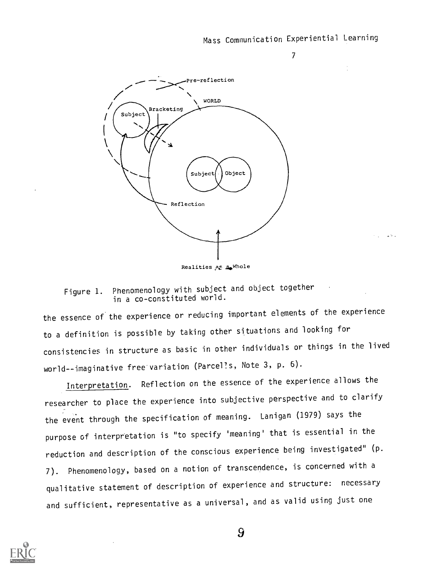$\mathcal{T}$  and  $\mathcal{T}$ 

 $\Delta$  M  $\sim$ 



Realities AS 2.Whole

Figure 1. Phenomenology with subject and object together in a co-constituted world.

the essence of the experience or reducing important elements of the experience to a definition is possible by taking other situations and looking for consistencies in structure as basic in other individuals or things in the lived world--imaginative free variation (Parcel's, Note 3, p. 6).

Interpretation. Reflection on the essence of the experience allows the researcher to place the experience into subjective perspective and to clarify the event through the specification of meaning. Lanigan (1979) says the purpose of interpretation is "to specify 'meaning' that is essential in the reduction and description of the conscious experience being investigated" (p. 7). Phenomenology, based on a notion of transcendence, is concerned with a qualitative statement of description of experience and structure: necessary and sufficient, representative as a universal, and as valid using just one

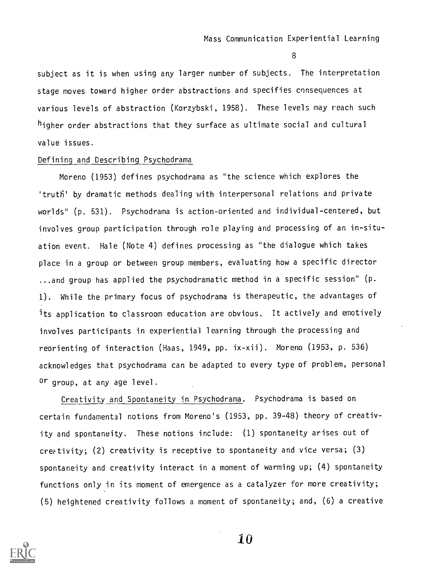subject as it is when using any larger number of subjects. The interpretation stage moves toward higher order abstractions and specifies consequences at various levels of abstraction (Korzybski, 1958). These levels may reach such higher order abstractions that they surface as ultimate social and cultural value issues.

#### Defining and Describing Psychodrama

Moreno (1953) defines psychodrama as "the science which explores the 'truth' by dramatic methods dealing with interpersonal relations and private worlds" (p. 531). Psychodrama is action-oriented and individual-centered, but involves group participation through role playing and processing of an in-situation event. Hale (Note 4) defines processing as "the dialogue which takes place in a group or between group members, evaluating how a specific director ...and group has applied the psychodramatic method in a specific session" (p. 1). While the primary focus of psychodrama is therapeutic, the advantages of its application to classroom education are obvious. It actively and emotively involves participants in experiential learning through the processing and reorienting of interaction (Haas, 1949, pp. ix-xii). Moreno (1953, p. 536) acknowledges that psychodrama can be adapted to every type of problem, personal or group, at any age level.

Creativity and Spontaneity in Psychodrama. Psychodrama is based on certain fundamental notions from Moreno's (1953, pp. 39-48) theory of creativity and spontaneity. These notions include: (1) spontaneity arises out of creativity; (2) creativity is receptive to spontaneity and vice versa; (3) spontaneity and creativity interact in a moment of warming up; (4) spontaneity functions only in its moment of emergence as a catalyzer for more creativity; (5) heightened creativity follows a moment of spontaneity; and, (6) a creative

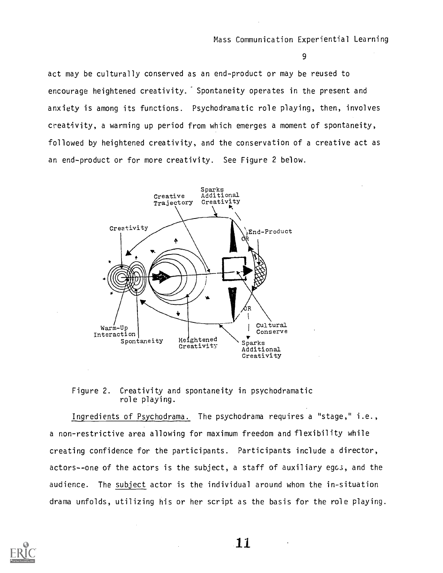act may be culturally conserved as an end-product or may be reused to encourage heightened creativity. Spontaneity operates in the present and anxiety is among its functions. Psychodramatic role playing, then, involves creativity, a warming up period from which emerges a moment of spontaneity, followed by heightened creativity, and the conservation of a creative act as an end-product or for more creativity. See Figure 2 below.



Figure 2. Creativity and spontaneity in psychodramatic role playing.

Ingredients of Psychodrama. The psychodrama requires a "stage," i.e., a non-restrictive area allowing for maximum freedom and flexibility while creating confidence for the participants. Participants include a director, actors--one of the actors is the subject, a staff of auxiliary egcs, and the audience. The subject actor is the individual around whom the in-situation drama unfolds, utilizing his or her script as the basis for the role playing.

![](_page_10_Picture_6.jpeg)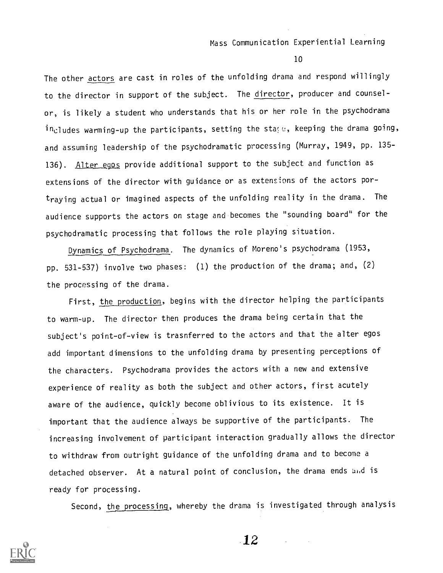10

The other **actors** are cast in roles of the unfolding drama and respond willingly to the director in support of the subject. The director, producer and counselor, is likely a student who understands that his or her role in the psychodrama includes warming-up the participants, setting the stage, keeping the drama going, and assuming leadership of the psychodramatic processing (Murray, 1949, pp. 135- 136). Alter egos provide additional support to the subject and function as extensions of the director with guidance or as extensions of the actors portraying actual or imagined aspects of the unfolding reality in the drama. The audience supports the actors on stage and becomes the "sounding board" for the psychodramatic processing that follows the role playing situation.

Dynamics of Psychodrama. The dynamics of Moreno's psychodrama (1953, pp. 531-537) involve two phases: (1) the production of the drama; and, (2) the processing of the drama.

First, the production, begins with the director helping the participants to warm-up. The director then produces the drama being certain that the subject's point-of-view is trasnferred to the actors and that the alter egos add important dimensions to the unfolding drama by presenting perceptions of the characters. Psychodrama provides the actors with a new and extensive experience of reality as both the subject and other actors, first acutely aware of the audience, quickly become oblivious to its existence. It is important that the audience always be supportive of the participants. The increasing involvement of participant interaction gradually allows the director to withdraw from outright guidance of the unfolding drama and to become a detached observer. At a natural point of conclusion, the drama ends and is ready for processing.

Second, the processing, whereby the drama is investigated through analysis

![](_page_11_Picture_6.jpeg)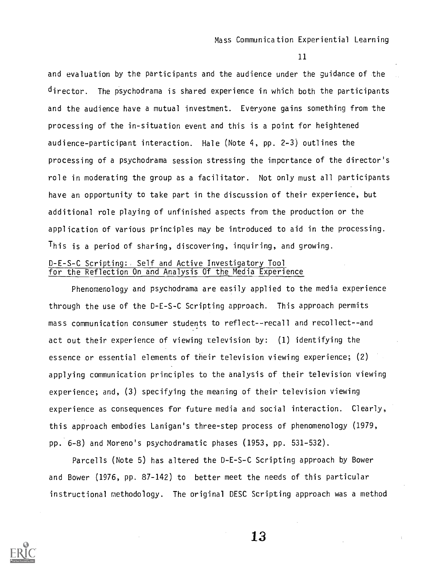and evaluation by the participants and the audience under the guidance of the director. The psychodrama is shared experience in which both the participants and the audience have a mutual investment. Everyone gains something from the processing of the in-situation event and this is a point for heightened audience-participant interaction. Hale (Note 4, pp. 2-3) outlines the processing of a psychodrama session stressing the importance of the director's role in moderating the group as a facilitator. Not only must all participants have an opportunity to take part in the discussion of their experience, but additional role playing of unfinished aspects from the production or the application of various principles may be introduced to aid in the processing. This is a period of sharing, discovering, inquiring, and growing. D-E-S-C Scripting: Self and Active Investigatory Tool for the Reflection On and Analysis Of the Media Experience

Phenomenology and psychodrama are easily applied to the media experience through the use of the D-E-S-C Scripting approach. This approach permits mass communication consumer students to reflect--recall and recollect--and act out their experience of viewing television by: (1) identifying the essence or essential elements of their television viewing experience; (2) applying communication principles to the analysis of their television viewing experience; and, (3) specifying the meaning of their television viewing experience as consequences for future media and social interaction. Clearly, this approach embodies Lanigan's three-step process of phenomenology (1979, pp. 6-8) and Moreno's psychodramatic phases (1953, pp. 531-532).

Parcells (Note 5) has altered the D-E-S-C Scripting approach by Bower and Bower (1976, pp. 87-142) to better meet the needs of this particular instructional methodology. The original DESC Scripting approach was a method

![](_page_12_Picture_5.jpeg)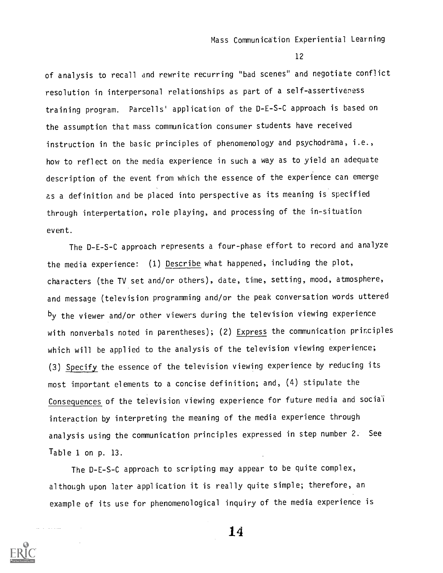of analysis to recall and rewrite recurring "bad scenes" and negotiate conflict resolution in interpersonal relationships as part of a self-assertiveness training program. Parcells' application of the D-E-S-C approach is based on the assumption that mass communication consumer students have received instruction in the basic principles of phenomenology and psychodrama, i.e., how to reflect on the media experience in such a way as to yield an adequate description of the event from which the essence of the experience can emerge as a definition and be placed into perspective as its meaning is specified through interpertation, role playing, and processing of the in-situation event.

The D-E-S-C approach represents a four-phase effort to record and analyze the media experience: (1) Describe what happened, including the plot, characters (the TV set and/or others), date, time, setting, mood, atmosphere, and message (television programming and/or the peak conversation words uttered by the viewer and/or other viewers during the television viewing experience with nonverbals noted in parentheses); (2) Express the communication principles which will be applied to the analysis of the television viewing experience; (3) Specify the essence of the television viewing experience by reducing its most important elements to a concise definition; and, (4) stipulate the Consequences of the television viewing experience for future media and social interaction by interpreting the meaning of the media experience through analysis using the communication principles expressed in step number 2. See Table 1 on p. 13.

The D-E-S-C approach to scripting may appear to be quite complex, although upon later application it is really quite simple; therefore, an example of its use for phenomenological inquiry of the media experience is

14

![](_page_13_Picture_6.jpeg)

 $\omega$  is a sign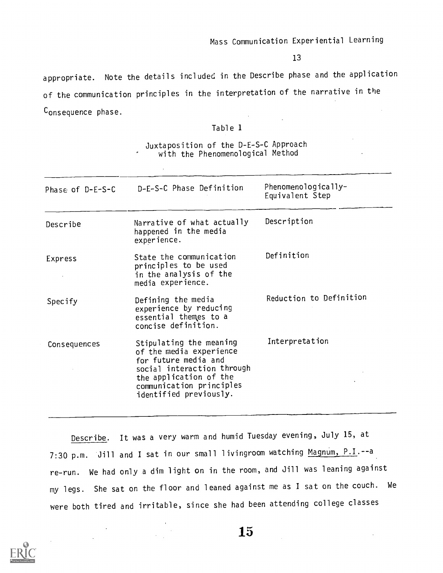appropriate. Note the details included in the Describe phase and the application of the communication principles in the interpretation of the narrative in the Consequence phase.

|  | Table 1 |  |
|--|---------|--|
|--|---------|--|

## Juxtaposition of the D-E-S-C Approach with the Phenomenological Method

 $\bar{.}$ 

| Phase of D-E-S-C | D-E-S-C Phase Definition                                                                                                                                                                 | Phenomenologically-<br>Equivalent Step |
|------------------|------------------------------------------------------------------------------------------------------------------------------------------------------------------------------------------|----------------------------------------|
| Describe         | Narrative of what actually<br>happened in the media<br>experience.                                                                                                                       | Description                            |
| Express          | State the communication<br>principles to be used<br>in the analysis of the<br>media experience.                                                                                          | Definition                             |
| Specify          | Defining the media<br>experience by reducing<br>essential themes to a<br>concise definition.                                                                                             | Reduction to Definition                |
| Consequences     | Stipulating the meaning<br>of the media experience<br>for future media and<br>social interaction through<br>the application of the<br>communication principles<br>identified previously. | Interpretation                         |

Describe. It was a very warm and humid Tuesday evening, July 15, at 7:30 p.m. Jill and I sat in our small livingroom watching Magnum, P.I.--a re-run. We had only a dim light on in the room, and Jill was leaning against my legs. She sat on the floor and leaned against me as I sat on the couch. We were both tired and irritable, since she had been attending college classes

![](_page_14_Picture_7.jpeg)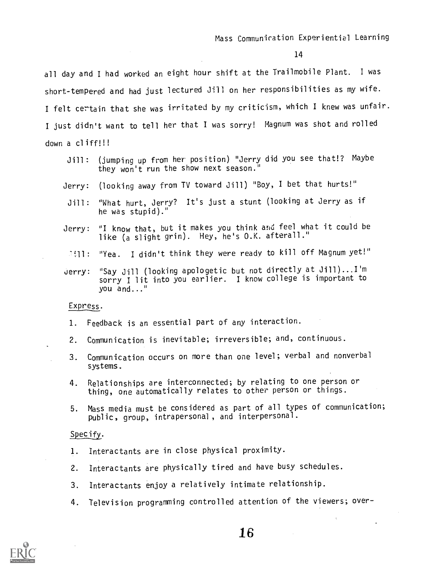all day and I had worked an eight hour shift at the Trailmobile Plant. I was short-tempered and had just lectured Jill on her responsibilities as my wife. I felt certain that she was irritated by my criticism, which I knew was unfair. I just didn't want to tell her that I was sorry! Magnum was shot and rolled down a cliff!!!

- Jill: (jumping up from her position) "Jerry did you see that!? Maybe they won't run the show next season."
- Jerry: (looking away from TV toward Jill) "Boy, I bet that hurts!"
- Jill: "What hurt, Jerry? It's just a stunt (looking at Jerry as if he was stupid)."
- Jerry: "I know that, but it makes you think and feel what it could be like (a slight grin). Hey, he's O.K. afterall."
- '11: "Yea. I didn't think they were ready to kill off Magnum yet!"
- Jerry: "Say Jill (looking apologetic but not directly at Jill)... I'm sorry I lit into you earlier. I know college is important to you and..."

#### Express.

- 1. Feedback is an essential part of any interaction.
- 2. Communication is inevitable; irreversible; and, continuous.
- 3. Communication occurs on more than one level; verbal and nonverbal systems.
- 4. Relationships are interconnected; by relating to one person or thing, one automatically relates to other person or things.
- 5. Mass media must be considered as part of all types of communication; Public, group, intrapersonal , and interpersonal.

### Specify.

- 1. Interactants are in close physical proximity.
- 2. Interactants are physically tired and have busy schedules.
- 3. Interactants enjoy a relatively intimate relationship.
- 4. Television programming controlled attention of the viewers; over-

![](_page_15_Picture_20.jpeg)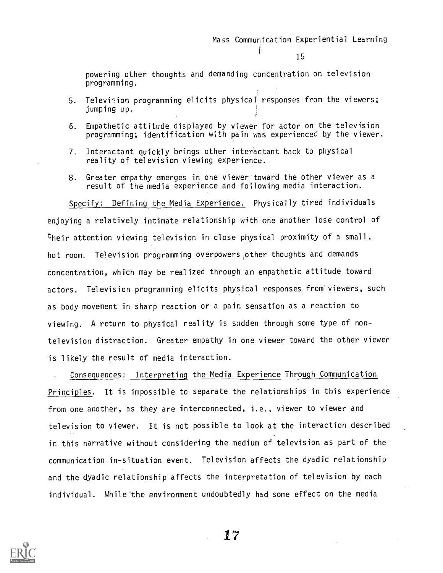powering other thoughts and demanding concentration on television programming.

- 5. Television programming elicits physical' responses from the viewers; jumping up.
- 6. Empathetic attitude displayed by viewer for actor on the television programming; identification with pain was experienced by the viewer.
- 7. Interactant quickly brings other interactant back to physical reality of television viewing experience.
- 8. Greater empathy emerges in one viewer toward the other viewer as a result of the media experience and following media interaction.

Specify: Defining the Media Experience. Physically tired individuals enjoying a relatively intimate relationship with one another lose control of their attention viewing television in close physical proximity of a small, hot room. Television programming overpowers other thoughts and demands concentration, which may be realized through an empathetic attitude toward actors. Television programming elicits physical responses from viewers, such as body movement in sharp reaction or a pain sensation as a reaction to viewing. A return to physical reality is sudden through some type of nontelevision distraction. Greater empathy in one viewer toward the other viewer is likely the result of media interaction.

Consequences: Interpreting the Media Experience Through Communication Principles. It is impossible to separate the relationships in this experience from one another, as they are interconnected, i.e., viewer to viewer and television to viewer. It is not possible to look at the interaction described in this narrative without considering the medium of television as part of the communication in-situation event. Television affects the dyadic relationship and the dyadic relationship affects the interpretation of television by each individual. While the environment undoubtedly had some effect on the media

![](_page_16_Picture_9.jpeg)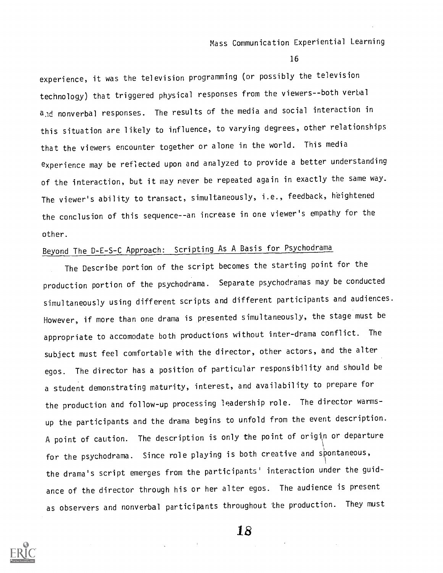16

experience, it was the television programming (or possibly the television technology) that triggered physical responses from the viewers--both verbal and nonverbal responses. The results of the media and social interaction in this situation are likely to influence, to varying degrees, other relationships that the viewers encounter together or alone in the world. This media experience may be reflected upon and analyzed to provide a better understanding of the interaction, but it may never be repeated again in exactly the same way. The viewer's ability to transact, simultaneously, i.e., feedback, heightened the conclusion of this sequence--an increase in one viewer's empathy for the other.

# Beyond The D-E-S-C Approach: Scripting As A Basis for Psychodrama

The Describe portion of the script becomes the starting point for the production portion of the psychodrama. Separate psychodramas may be conducted simultaneously using different scripts and different participants and audiences. However, if more than one drama is presented simultaneously, the stage must be appropriate to accomodate both productions without inter-drama conflict. The subject must feel comfortable with the director, other actors, and the alter egos. The director has a position of particular responsibility and should be a student demonstrating maturity, interest, and availability to prepare for the production and follow-up processing leadership role. The director warmsup the participants and the drama begins to unfold from the event description. A point of caution. The description is only the point of origin or departure for the psychodrama. Since role playing is both creative and spontaneous, the drama's script emerges from the participants' interaction under the guidance of the director through his or her alter egos. The audience is present as observers and nonverbal participants throughout the production. They must

![](_page_17_Picture_5.jpeg)

Ys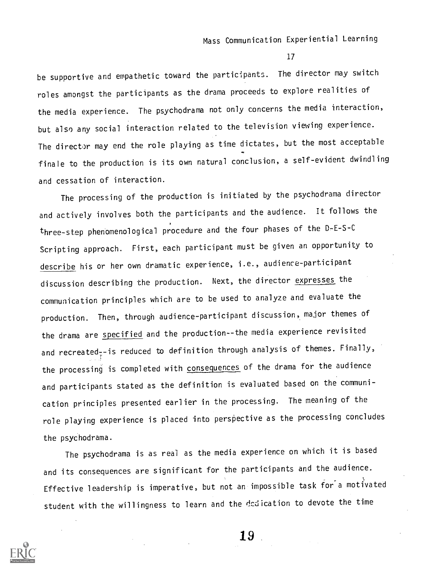be supportive and empathetic toward the participants. The director may switch roles amongst the participants as the drama proceeds to explore realities of the media experience. The psychodrama not only concerns the media interaction, but also any social interaction related to the television viewing experience. The director may end the role playing as time dictates, but the most acceptable finale to the production is its own natural conclusion, a self-evident dwindling and cessation of interaction.

The processing of the production is initiated by the psychodrama director and actively involves both the participants and the audience. It follows the three-step phenomenological procedure and the four phases of the D-E-S-C Scripting approach. First, each participant must be given an opportunity to describe his or her own dramatic experience, i.e., audience-participant discussion describing the production. Next, the director expresses the communication principles which are to be used to analyze and evaluate the production. Then, through audience-participant discussion, major themes of the drama are specified and the production--the media experience revisited and recreated  $=$  is reduced to definition through analysis of themes. Finally, the processing is completed with consequences of the drama for the audience and participants stated as the definition is evaluated based on the communication principles presented earlier in the processing. The meaning of the role playing experience is placed into perspective as the processing concludes the psychodrama.

The psychodrama is as real as the media experience on which it is based and its consequences are significant for the participants and the audience. Effective leadership is imperative, but not an impossible task for a motivated student with the willingness to learn and the dedication to devote the time

![](_page_18_Picture_5.jpeg)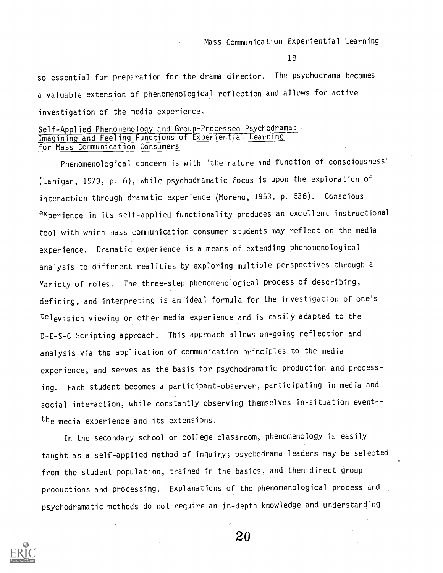so essential for preparation for the drama director. The psychodrama becomes a valuable extension of phenomenological reflection and allows for active investigation of the media experience,

## Self-Applied Phenomenology and Group-Processed Psychodrama: Imagining and Feeling Functions of Experiential Learning for Mass Communication Consumers

Phenomenological concern is with "the nature and function of consciousness" (Lanigan, 1979, p. 6), while psychodramatic focus is upon the exploration of interaction through dramatic experience (Moreno, 1953, p. 536). Conscious experience in its self-applied functionality produces an excellent instructional tool with which mass communication consumer students may reflect on the media experience. Dramatic experience is a means of extending phenomenological analysis to different realities by exploring multiple perspectives through a variety of roles. The three-step phenomenological process of describing, defining, and interpreting is an ideal formula for the investigation of one's television viewing or other media experience and is easily adapted to the D-E-S-C Scripting approach. This approach allows on-going reflection and analysis via the application of communication principles to the media experience, and serves as the basis for psychodramatic production and processing. Each student becomes a participant-observer, participating in media and social interaction, while constantly observing themselves in-situation event-the media experience and its extensions.

In the secondary school or college classroom, phenomenology is easily taught as a self-applied method of inquiry; psychodrama leaders may be selected from the student population, trained in the basics, and then direct group productions and processing. Explanations of the phenomenological process and psychodramatic methods do not require an in-depth knowledge and understanding

![](_page_19_Picture_6.jpeg)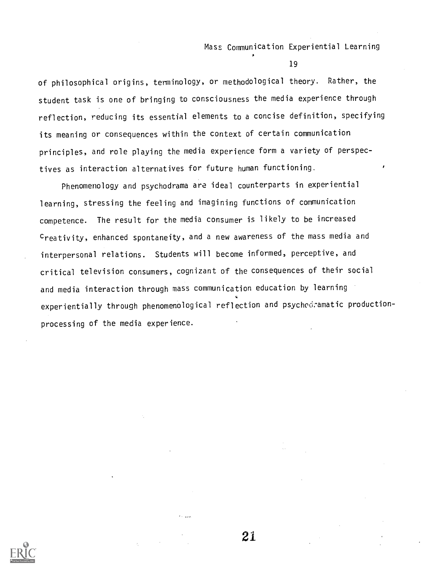19

of philosophical origins, terminology, or methodological theory. Rather, the student task is one of bringing to consciousness the media experience through reflection, reducing its essential elements to a concise definition, specifying its meaning or consequences within the context of certain communication principles, and role playing the media experience form a variety of perspectives as interaction alternatives for future human functioning.

Phenomenology and psychodrama are ideal counterparts in experiential learning, stressing the feeling and imagining functions of communication competence. The result for the media consumer is likely to be increased creativity, enhanced spontaneity, and a new awareness of the mass media and interpersonal relations. Students will become informed, perceptive, and critical television consumers, cognizant of the consequences of their social and media interaction through mass communication education by learning experientially through phenomenological reflection and psychodramatic productionprocessing of the media experience.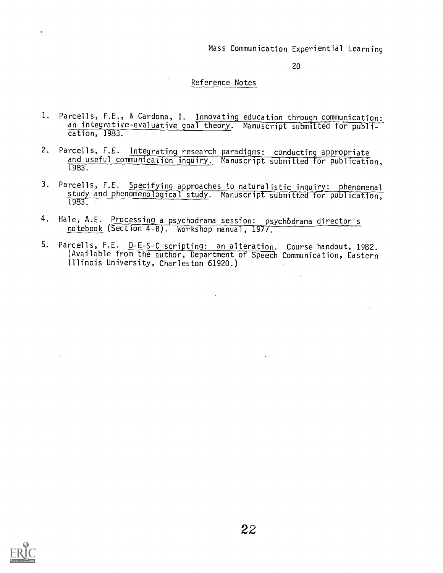20

 $\frac{1}{2}$ 

## Reference Notes

- 1. Parcells, F.E., & Cardona, I. Innovating education through communication: an integrative-evaluative goal theory. Manuscript submitted for publication, 1983.
- 2. Parcells, F.E. Integrating research paradigms: conducting appropriate and useful communication inquiry. Manuscript submitted for publication, 1983.
- 3. Parcells, F.E. Specifying approaches to naturalistic inquiry: phenomenal study and phenomenological study. Manuscript submitted for publication, 1983.
- 4. Hale, A.E. Processing a psychodrama session: psychodrama director's notebook (Section 4-B). Workshop manual, 1977.
- 5. Parcells, F.E. D-E-S-C scripting: an alteration. Course handout, 1982. (Available from the author, Department of Speech Communication, Eastern Illinois University, Charleston 61920.)

![](_page_21_Picture_8.jpeg)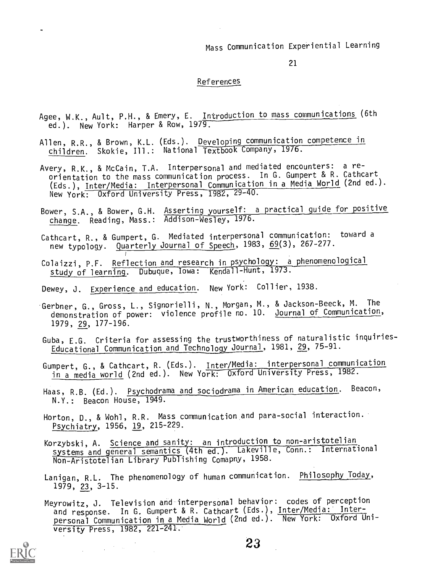21

#### References

- Agee, W.K., Ault, P.H., & Emery, E. Introduction to mass communications (6th ed.). New York: Harper & Row, 1979.
- Allen, R.R., & Brown, K.L. (Eds.). Developing communication competence in children. Skokie, Ill.: National Textbook Company, 1976.
- Avery, R.K., & McCain, T.A. Interpersonal and mediated encounters: a re orientation to the mass communication process. In G. Gumpert & R. Cathcart (Eds.), Inter/Media: Interpersonal Communication in a Media World (2nd ed.). New York: Oxford University Press, 1982, 29-40.
- Bower, S.A., & Bower, G.H. <u>Asserting yourself: a practical guide for positive</u> change. Reading, Mass.: Addison-Wesley, 1976.
- Cathcart, R., & Gumpert, G. Mediated interpersonal communication: toward a new typology. Quarterly Journal of Speech, 1983, 69(3), 267-277.
- Colaizzi, P.F. Reflection and research in psychology: a phenomenological study of learning. Dubuque, Iowa: Kendall-Hunt, 1973.
- Dewey, J. Experience and education. New York: Collier, 1938.
- Gerbner, G., Gross, L., Signorielli, N., Morgan, M., & Jackson-Beeck, M. The demonstration of power: violence profile no. 10. Journal of Communication, 1979, 29, 177-196.
- Guba, E.G. Criteria for assessing the trustworthiness of naturalistic inquiries-Educational Communication and Technology Journal, 1981, 29, 75-91.
- Gumpert, G., & Cathcart, R. (Eds.). Inter/Media: interpersonal communication in a media world (2nd ed.). New York: Oxford University Press, 1982.
- Haas, R.B. (Ed.). Psychodrama and sociodrama in American education. Beacon, N.Y.: Beacon House, 1949.
- Horton, D., & Wohl, R.R. Mass communication and para-social interaction. Psychiatry, 1956, 19, 215-229.
- Korzybski, A. Science and sanity: an introduction to non-aristotelian systems and general semantics (4th ed.). Lakeville, Conn.: International Non-Aristotelian Library Publishing Comapny, 1958.
- Lanigan, R.L. The phenomenology of human communication. Philosophy Today, 1979, 23, 3-15.
- Meyrowitz, J. Television and interpersonal behavior: codes of perception and response. In G. Gumpert & R. Cathcart (Eds.), Inter/Media: Interpersonal Communication in a Media World (2nd ed.). New York: Oxford University Press, 1982, 221-241.

![](_page_22_Picture_18.jpeg)

 $\mathcal{F}^{\text{L}}_{\text{c}}$  and